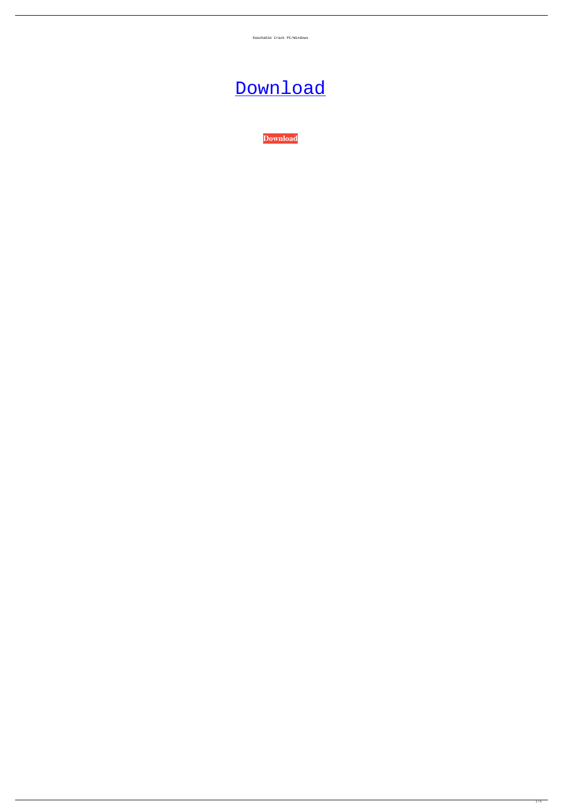Soashable Crack PC/Windows

## [Download](http://evacdir.com/accommodated.U29hc2hhYmxlU29/bagful/ZG93bmxvYWR8SWoyY1hKbWZId3hOalUwTkRNMk5qVTRmSHd5TlRrd2ZId29UU2tnVjI5eVpIQnlaWE56SUZ0WVRVeFNVRU1nVmpJZ1VFUkdYUQ.marmalade/fogg/setembre/speedboat/steamships)

**[Download](http://evacdir.com/accommodated.U29hc2hhYmxlU29/bagful/ZG93bmxvYWR8SWoyY1hKbWZId3hOalUwTkRNMk5qVTRmSHd5TlRrd2ZId29UU2tnVjI5eVpIQnlaWE56SUZ0WVRVeFNVRU1nVmpJZ1VFUkdYUQ.marmalade/fogg/setembre/speedboat/steamships)**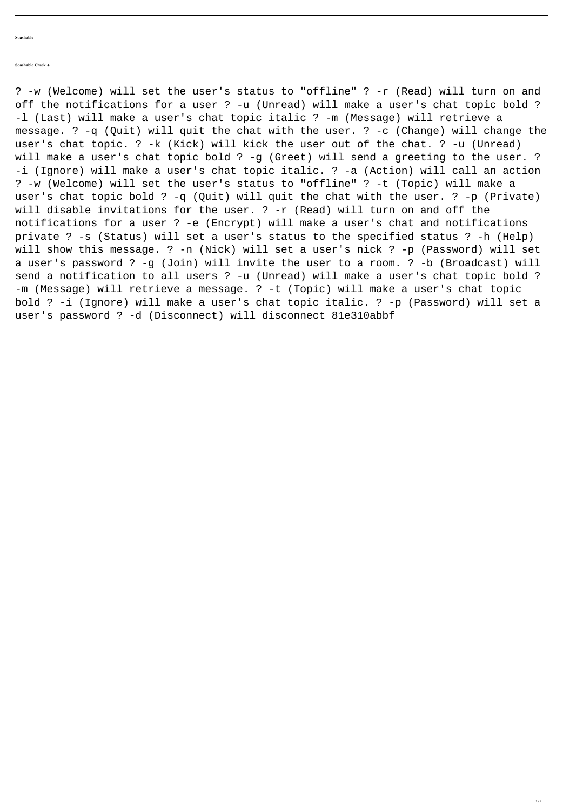**Soashable** 

## **Soashable Crack +**

? -w (Welcome) will set the user's status to "offline" ? -r (Read) will turn on and off the notifications for a user ? -u (Unread) will make a user's chat topic bold ? -l (Last) will make a user's chat topic italic ? -m (Message) will retrieve a message. ? -q (Quit) will quit the chat with the user. ? -c (Change) will change the user's chat topic. ? -k (Kick) will kick the user out of the chat. ? -u (Unread) will make a user's chat topic bold ? -g (Greet) will send a greeting to the user. ? -i (Ignore) will make a user's chat topic italic. ? -a (Action) will call an action ? -w (Welcome) will set the user's status to "offline" ? -t (Topic) will make a user's chat topic bold ? -q (Quit) will quit the chat with the user. ? -p (Private) will disable invitations for the user. ? -r (Read) will turn on and off the notifications for a user ? -e (Encrypt) will make a user's chat and notifications private ? -s (Status) will set a user's status to the specified status ? -h (Help) will show this message. ? -n (Nick) will set a user's nick ? -p (Password) will set a user's password ? -g (Join) will invite the user to a room. ? -b (Broadcast) will send a notification to all users ? -u (Unread) will make a user's chat topic bold ? -m (Message) will retrieve a message. ? -t (Topic) will make a user's chat topic bold ? -i (Ignore) will make a user's chat topic italic. ? -p (Password) will set a user's password ? -d (Disconnect) will disconnect 81e310abbf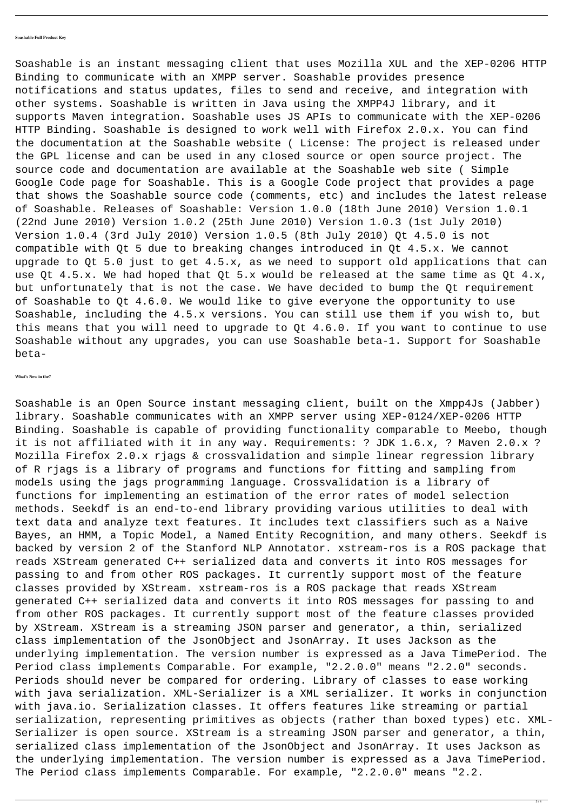## **Soashable Full Product Key**

Soashable is an instant messaging client that uses Mozilla XUL and the XEP-0206 HTTP Binding to communicate with an XMPP server. Soashable provides presence notifications and status updates, files to send and receive, and integration with other systems. Soashable is written in Java using the XMPP4J library, and it supports Maven integration. Soashable uses JS APIs to communicate with the XEP-0206 HTTP Binding. Soashable is designed to work well with Firefox 2.0.x. You can find the documentation at the Soashable website ( License: The project is released under the GPL license and can be used in any closed source or open source project. The source code and documentation are available at the Soashable web site ( Simple Google Code page for Soashable. This is a Google Code project that provides a page that shows the Soashable source code (comments, etc) and includes the latest release of Soashable. Releases of Soashable: Version 1.0.0 (18th June 2010) Version 1.0.1 (22nd June 2010) Version 1.0.2 (25th June 2010) Version 1.0.3 (1st July 2010) Version 1.0.4 (3rd July 2010) Version 1.0.5 (8th July 2010) Qt 4.5.0 is not compatible with Qt 5 due to breaking changes introduced in Qt 4.5.x. We cannot upgrade to Qt 5.0 just to get 4.5.x, as we need to support old applications that can use Qt 4.5.x. We had hoped that Qt 5.x would be released at the same time as Qt 4.x, but unfortunately that is not the case. We have decided to bump the Qt requirement of Soashable to Qt 4.6.0. We would like to give everyone the opportunity to use Soashable, including the 4.5.x versions. You can still use them if you wish to, but

this means that you will need to upgrade to Qt 4.6.0. If you want to continue to use Soashable without any upgrades, you can use Soashable beta-1. Support for Soashable beta-

**What's New in the?**

Soashable is an Open Source instant messaging client, built on the Xmpp4Js (Jabber) library. Soashable communicates with an XMPP server using XEP-0124/XEP-0206 HTTP Binding. Soashable is capable of providing functionality comparable to Meebo, though it is not affiliated with it in any way. Requirements: ? JDK 1.6.x, ? Maven 2.0.x ? Mozilla Firefox 2.0.x rjags & crossvalidation and simple linear regression library of R rjags is a library of programs and functions for fitting and sampling from models using the jags programming language. Crossvalidation is a library of functions for implementing an estimation of the error rates of model selection methods. Seekdf is an end-to-end library providing various utilities to deal with text data and analyze text features. It includes text classifiers such as a Naive Bayes, an HMM, a Topic Model, a Named Entity Recognition, and many others. Seekdf is backed by version 2 of the Stanford NLP Annotator. xstream-ros is a ROS package that reads XStream generated C++ serialized data and converts it into ROS messages for passing to and from other ROS packages. It currently support most of the feature classes provided by XStream. xstream-ros is a ROS package that reads XStream generated C++ serialized data and converts it into ROS messages for passing to and from other ROS packages. It currently support most of the feature classes provided by XStream. XStream is a streaming JSON parser and generator, a thin, serialized class implementation of the JsonObject and JsonArray. It uses Jackson as the underlying implementation. The version number is expressed as a Java TimePeriod. The Period class implements Comparable. For example, "2.2.0.0" means "2.2.0" seconds. Periods should never be compared for ordering. Library of classes to ease working with java serialization. XML-Serializer is a XML serializer. It works in conjunction with java.io. Serialization classes. It offers features like streaming or partial serialization, representing primitives as objects (rather than boxed types) etc. XML-Serializer is open source. XStream is a streaming JSON parser and generator, a thin, serialized class implementation of the JsonObject and JsonArray. It uses Jackson as the underlying implementation. The version number is expressed as a Java TimePeriod. The Period class implements Comparable. For example, "2.2.0.0" means "2.2.